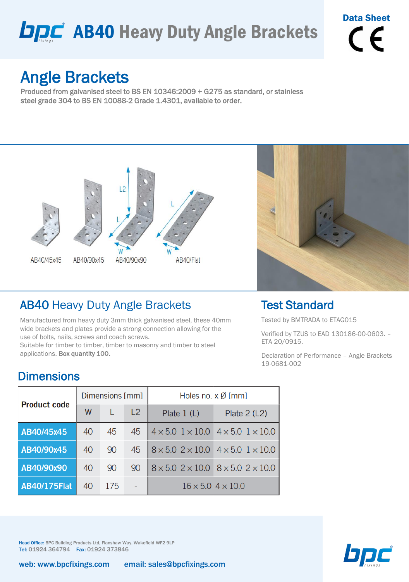# **DDC** AB40 Heavy Duty Angle Brackets

# Data Sheet  $\epsilon$

# Angle Brackets

Produced from galvanised steel to BS EN 10346:2009 + G275 as standard, or stainless steel grade 304 to BS EN 10088-2 Grade 1.4301, available to order.



### AB40 Heavy Duty Angle Brackets

Manufactured from heavy duty 3mm thick galvanised steel, these 40mm wide brackets and plates provide a strong connection allowing for the use of bolts, nails, screws and coach screws.

Suitable for timber to timber, timber to masonry and timber to steel applications. Box quantity 100.



#### Test Standard

Tested by BMTRADA to ETAG015

Verified by TZUS to EAD 130186-00-0603. – ETA 20/0915.

Declaration of Performance – Angle Brackets 19-0681-002

#### **Dimensions**

| <b>Product code</b> |    | Dimensions [mm] |    | Holes no. $x \emptyset$ [mm]                                  |                                                               |  |  |  |  |
|---------------------|----|-----------------|----|---------------------------------------------------------------|---------------------------------------------------------------|--|--|--|--|
|                     | W  |                 | L2 | Plate $1(L)$                                                  | Plate $2(L2)$                                                 |  |  |  |  |
| AB40/45x45          | 40 | 45              | 45 |                                                               | $4 \times 5.0$ $1 \times 10.0$ $4 \times 5.0$ $1 \times 10.0$ |  |  |  |  |
| AB40/90x45          | 40 | 90              | 45 | $8 \times 5.0$ 2 $\times$ 10.0 4 $\times$ 5.0 1 $\times$ 10.0 |                                                               |  |  |  |  |
| AB40/90x90          | 40 | 90              | 90 |                                                               | $8 \times 5.0$ 2 $\times$ 10.0 $8 \times 5.0$ 2 $\times$ 10.0 |  |  |  |  |
| <b>AB40/175Flat</b> | 40 | 175             |    |                                                               | $16 \times 5.04 \times 10.0$                                  |  |  |  |  |

Head Office: BPC Building Products Ltd, Flanshaw Way, Wakefield WF2 9LP Tel: 01924 364794 Fax: 01924 373846